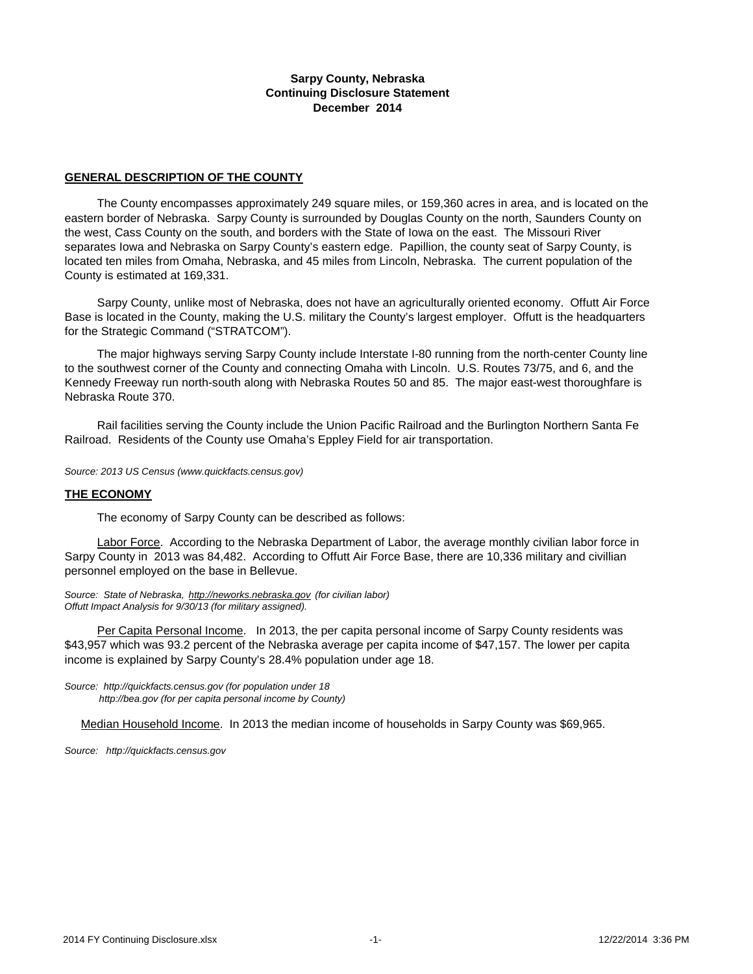#### **Sarpy County, Nebraska Continuing Disclosure Statement December 2014**

#### **GENERAL DESCRIPTION OF THE COUNTY**

 The County encompasses approximately 249 square miles, or 159,360 acres in area, and is located on the eastern border of Nebraska. Sarpy County is surrounded by Douglas County on the north, Saunders County on the west, Cass County on the south, and borders with the State of Iowa on the east. The Missouri River separates Iowa and Nebraska on Sarpy County's eastern edge. Papillion, the county seat of Sarpy County, is located ten miles from Omaha, Nebraska, and 45 miles from Lincoln, Nebraska. The current population of the County is estimated at 169,331.

 Sarpy County, unlike most of Nebraska, does not have an agriculturally oriented economy. Offutt Air Force Base is located in the County, making the U.S. military the County's largest employer. Offutt is the headquarters for the Strategic Command ("STRATCOM").

 The major highways serving Sarpy County include Interstate I-80 running from the north-center County line to the southwest corner of the County and connecting Omaha with Lincoln. U.S. Routes 73/75, and 6, and the Kennedy Freeway run north-south along with Nebraska Routes 50 and 85. The major east-west thoroughfare is Nebraska Route 370.

 Rail facilities serving the County include the Union Pacific Railroad and the Burlington Northern Santa Fe Railroad. Residents of the County use Omaha's Eppley Field for air transportation.

*Source: 2013 US Census (www.quickfacts.census.gov)*

#### **THE ECONOMY**

The economy of Sarpy County can be described as follows:

 Labor Force. According to the Nebraska Department of Labor, the average monthly civilian labor force in Sarpy County in 2013 was 84,482. According to Offutt Air Force Base, there are 10,336 military and civillian personnel employed on the base in Bellevue.

*Source: State of Nebraska, http://neworks.nebraska.gov (for civilian labor) Offutt Impact Analysis for 9/30/13 (for military assigned).* 

 Per Capita Personal Income. In 2013, the per capita personal income of Sarpy County residents was \$43,957 which was 93.2 percent of the Nebraska average per capita income of \$47,157. The lower per capita income is explained by Sarpy County's 28.4% population under age 18.

*Source: http://quickfacts.census.gov (for population under 18 http://bea.gov (for per capita personal income by County)*

Median Household Income. In 2013 the median income of households in Sarpy County was \$69,965.

*[Source: http://quickfacts.census.gov](http://factfinder.census.gov/)*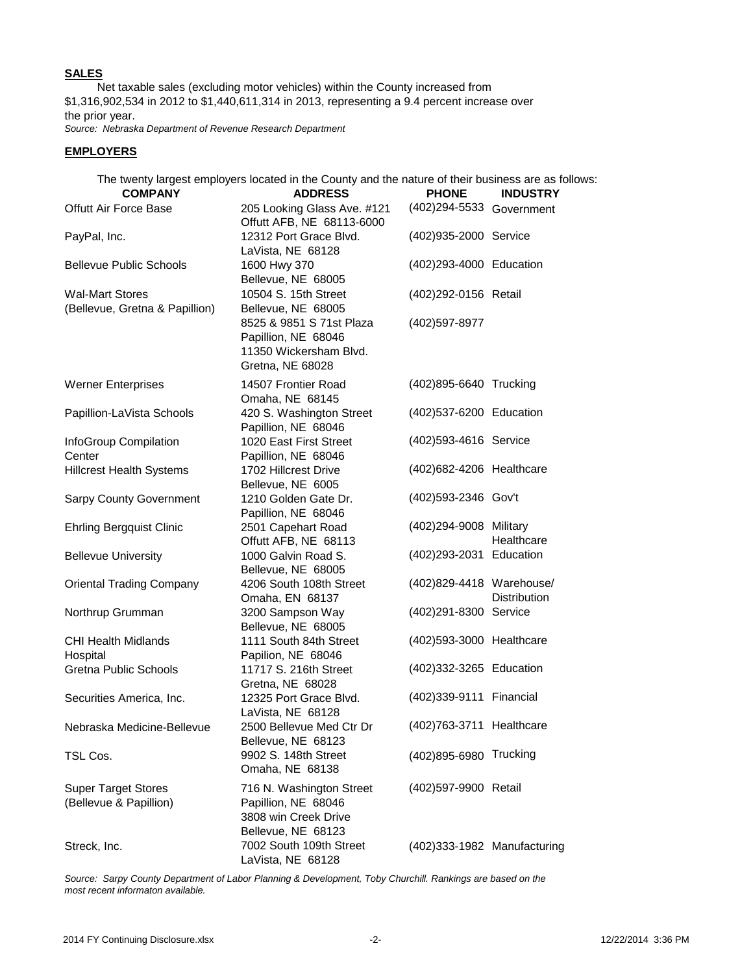### **SALES**

 Net taxable sales (excluding motor vehicles) within the County increased from \$1,316,902,534 in 2012 to \$1,440,611,314 in 2013, representing a 9.4 percent increase over the prior year.

*Source: Nebraska Department of Revenue Research Department*

### **EMPLOYERS**

The twenty largest employers located in the County and the nature of their business are as follows:

| <b>COMPANY</b>                                           | <b>ADDRESS</b>                                                                                | <b>PHONE</b>                | <b>INDUSTRY</b>     |  |  |
|----------------------------------------------------------|-----------------------------------------------------------------------------------------------|-----------------------------|---------------------|--|--|
| <b>Offutt Air Force Base</b>                             | 205 Looking Glass Ave. #121<br>Offutt AFB, NE 68113-6000                                      | (402) 294-5533 Government   |                     |  |  |
| PayPal, Inc.                                             | 12312 Port Grace Blvd.<br>LaVista, NE 68128                                                   | (402)935-2000 Service       |                     |  |  |
| <b>Bellevue Public Schools</b>                           | 1600 Hwy 370<br>Bellevue, NE 68005                                                            | (402)293-4000 Education     |                     |  |  |
| <b>Wal-Mart Stores</b><br>(Bellevue, Gretna & Papillion) | 10504 S. 15th Street<br>Bellevue, NE 68005                                                    | (402)292-0156 Retail        |                     |  |  |
|                                                          | 8525 & 9851 S 71st Plaza<br>Papillion, NE 68046<br>11350 Wickersham Blvd.<br>Gretna, NE 68028 | (402)597-8977               |                     |  |  |
| <b>Werner Enterprises</b>                                | 14507 Frontier Road<br>Omaha, NE 68145                                                        | (402)895-6640 Trucking      |                     |  |  |
| Papillion-LaVista Schools                                | 420 S. Washington Street<br>Papillion, NE 68046                                               | (402)537-6200 Education     |                     |  |  |
| InfoGroup Compilation<br>Center                          | 1020 East First Street<br>Papillion, NE 68046                                                 | (402)593-4616 Service       |                     |  |  |
| <b>Hillcrest Health Systems</b>                          | 1702 Hillcrest Drive<br>Bellevue, NE 6005                                                     | (402) 682-4206 Healthcare   |                     |  |  |
| <b>Sarpy County Government</b>                           | 1210 Golden Gate Dr.<br>Papillion, NE 68046                                                   | (402)593-2346 Gov't         |                     |  |  |
| <b>Ehrling Bergquist Clinic</b>                          | 2501 Capehart Road<br>Offutt AFB, NE 68113                                                    | (402) 294-9008 Military     | Healthcare          |  |  |
| <b>Bellevue University</b>                               | 1000 Galvin Road S.<br>Bellevue, NE 68005                                                     | (402) 293-2031 Education    |                     |  |  |
| <b>Oriental Trading Company</b>                          | 4206 South 108th Street<br>Omaha, EN 68137                                                    | (402)829-4418 Warehouse/    | <b>Distribution</b> |  |  |
| Northrup Grumman                                         | 3200 Sampson Way<br>Bellevue, NE 68005                                                        | (402) 291-8300 Service      |                     |  |  |
| <b>CHI Health Midlands</b><br>Hospital                   | 1111 South 84th Street<br>Papilion, NE 68046                                                  | (402) 593-3000 Healthcare   |                     |  |  |
| <b>Gretna Public Schools</b>                             | 11717 S. 216th Street<br>Gretna, NE 68028                                                     | (402)332-3265 Education     |                     |  |  |
| Securities America, Inc.                                 | 12325 Port Grace Blvd.<br>LaVista, NE 68128                                                   | (402) 339-9111 Financial    |                     |  |  |
| Nebraska Medicine-Bellevue                               | 2500 Bellevue Med Ctr Dr<br>Bellevue, NE 68123                                                | (402) 763-3711 Healthcare   |                     |  |  |
| TSL Cos.                                                 | 9902 S. 148th Street<br>Omaha, NE 68138                                                       | (402)895-6980 Trucking      |                     |  |  |
| <b>Super Target Stores</b><br>(Bellevue & Papillion)     | 716 N. Washington Street<br>Papillion, NE 68046<br>3808 win Creek Drive<br>Bellevue, NE 68123 | (402)597-9900 Retail        |                     |  |  |
| Streck, Inc.                                             | 7002 South 109th Street<br>LaVista, NE 68128                                                  | (402)333-1982 Manufacturing |                     |  |  |

*Source: Sarpy County Department of Labor Planning & Development, Toby Churchill. Rankings are based on the most recent informaton available.*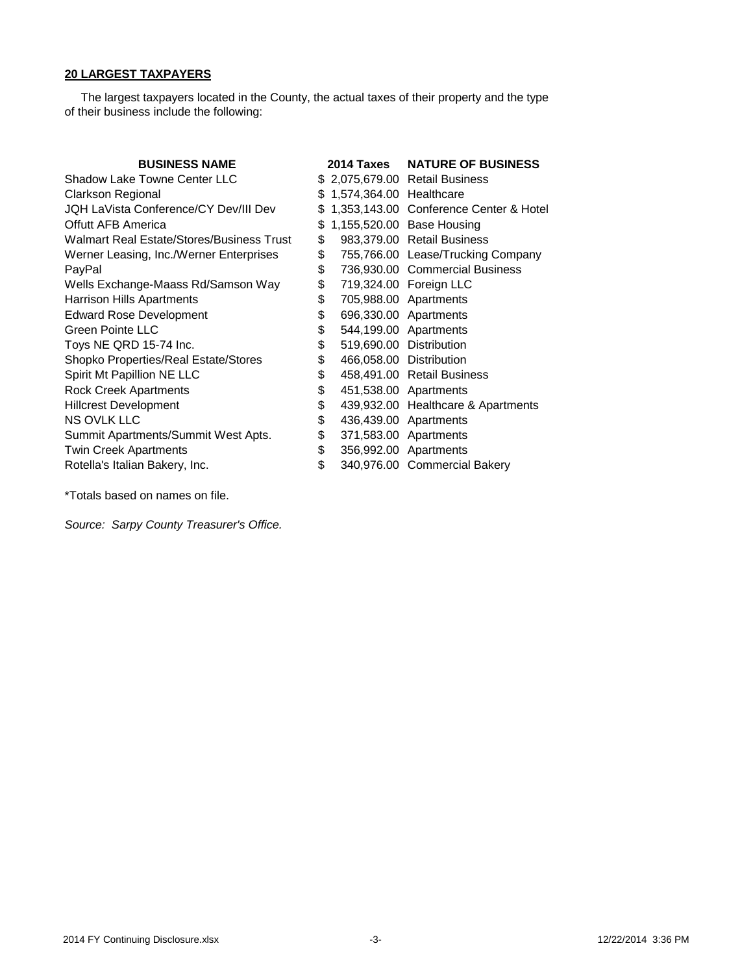## **20 LARGEST TAXPAYERS**

 The largest taxpayers located in the County, the actual taxes of their property and the type of their business include the following:

| <b>BUSINESS NAME</b>                      |     | 2014 Taxes                 | <b>NATURE OF BUSINESS</b>              |
|-------------------------------------------|-----|----------------------------|----------------------------------------|
| Shadow Lake Towne Center LLC              |     |                            | \$2,075,679.00 Retail Business         |
| Clarkson Regional                         |     | \$ 1,574,364.00 Healthcare |                                        |
| JQH LaVista Conference/CY Dev/III Dev     | \$. |                            | 1,353,143.00 Conference Center & Hotel |
| Offutt AFB America                        | \$  |                            | 1,155,520.00 Base Housing              |
| Walmart Real Estate/Stores/Business Trust | \$  |                            | 983,379.00 Retail Business             |
| Werner Leasing, Inc./Werner Enterprises   | \$  |                            | 755,766.00 Lease/Trucking Company      |
| PayPal                                    | \$  |                            | 736,930.00 Commercial Business         |
| Wells Exchange-Maass Rd/Samson Way        | \$  |                            | 719,324.00 Foreign LLC                 |
| <b>Harrison Hills Apartments</b>          | \$  |                            | 705,988.00 Apartments                  |
| <b>Edward Rose Development</b>            | \$  |                            | 696,330.00 Apartments                  |
| Green Pointe LLC                          | \$  |                            | 544,199.00 Apartments                  |
| Toys NE QRD 15-74 Inc.                    | \$  |                            | 519,690.00 Distribution                |
| Shopko Properties/Real Estate/Stores      | \$  | 466,058.00 Distribution    |                                        |
| Spirit Mt Papillion NE LLC                | \$  |                            | 458,491.00 Retail Business             |
| <b>Rock Creek Apartments</b>              | \$  |                            | 451,538.00 Apartments                  |
| <b>Hillcrest Development</b>              | \$  |                            | 439,932.00 Healthcare & Apartments     |
| NS OVLK LLC                               | \$  |                            | 436,439.00 Apartments                  |
| Summit Apartments/Summit West Apts.       | \$  |                            | 371,583.00 Apartments                  |
| <b>Twin Creek Apartments</b>              | \$  |                            | 356,992.00 Apartments                  |
| Rotella's Italian Bakery, Inc.            | \$  |                            | 340,976.00 Commercial Bakery           |

\*Totals based on names on file.

*Source: Sarpy County Treasurer's Office.*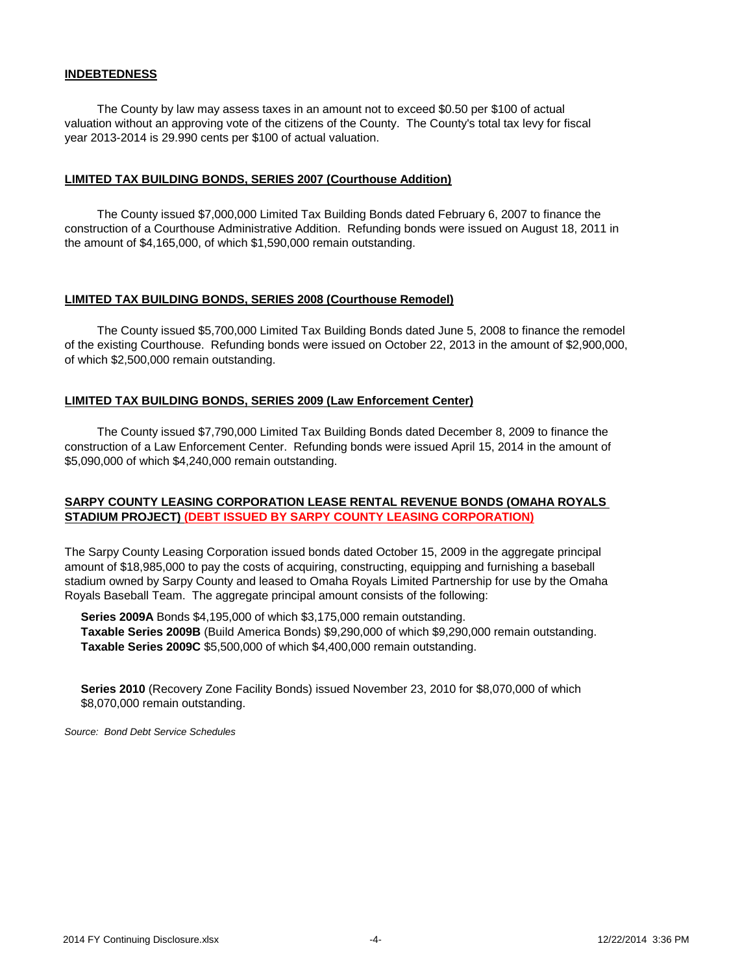#### **INDEBTEDNESS**

 The County by law may assess taxes in an amount not to exceed \$0.50 per \$100 of actual valuation without an approving vote of the citizens of the County. The County's total tax levy for fiscal year 2013-2014 is 29.990 cents per \$100 of actual valuation.

#### **LIMITED TAX BUILDING BONDS, SERIES 2007 (Courthouse Addition)**

 The County issued \$7,000,000 Limited Tax Building Bonds dated February 6, 2007 to finance the construction of a Courthouse Administrative Addition. Refunding bonds were issued on August 18, 2011 in the amount of \$4,165,000, of which \$1,590,000 remain outstanding.

#### **LIMITED TAX BUILDING BONDS, SERIES 2008 (Courthouse Remodel)**

 The County issued \$5,700,000 Limited Tax Building Bonds dated June 5, 2008 to finance the remodel of the existing Courthouse. Refunding bonds were issued on October 22, 2013 in the amount of \$2,900,000, of which \$2,500,000 remain outstanding.

#### **LIMITED TAX BUILDING BONDS, SERIES 2009 (Law Enforcement Center)**

 The County issued \$7,790,000 Limited Tax Building Bonds dated December 8, 2009 to finance the construction of a Law Enforcement Center. Refunding bonds were issued April 15, 2014 in the amount of \$5,090,000 of which \$4,240,000 remain outstanding.

### **SARPY COUNTY LEASING CORPORATION LEASE RENTAL REVENUE BONDS (OMAHA ROYALS STADIUM PROJECT) (DEBT ISSUED BY SARPY COUNTY LEASING CORPORATION)**

The Sarpy County Leasing Corporation issued bonds dated October 15, 2009 in the aggregate principal amount of \$18,985,000 to pay the costs of acquiring, constructing, equipping and furnishing a baseball stadium owned by Sarpy County and leased to Omaha Royals Limited Partnership for use by the Omaha Royals Baseball Team. The aggregate principal amount consists of the following:

 **Series 2009A** Bonds \$4,195,000 of which \$3,175,000 remain outstanding. **Taxable Series 2009B** (Build America Bonds) \$9,290,000 of which \$9,290,000 remain outstanding. **Taxable Series 2009C** \$5,500,000 of which \$4,400,000 remain outstanding.

 **Series 2010** (Recovery Zone Facility Bonds) issued November 23, 2010 for \$8,070,000 of which \$8,070,000 remain outstanding.

*Source: Bond Debt Service Schedules*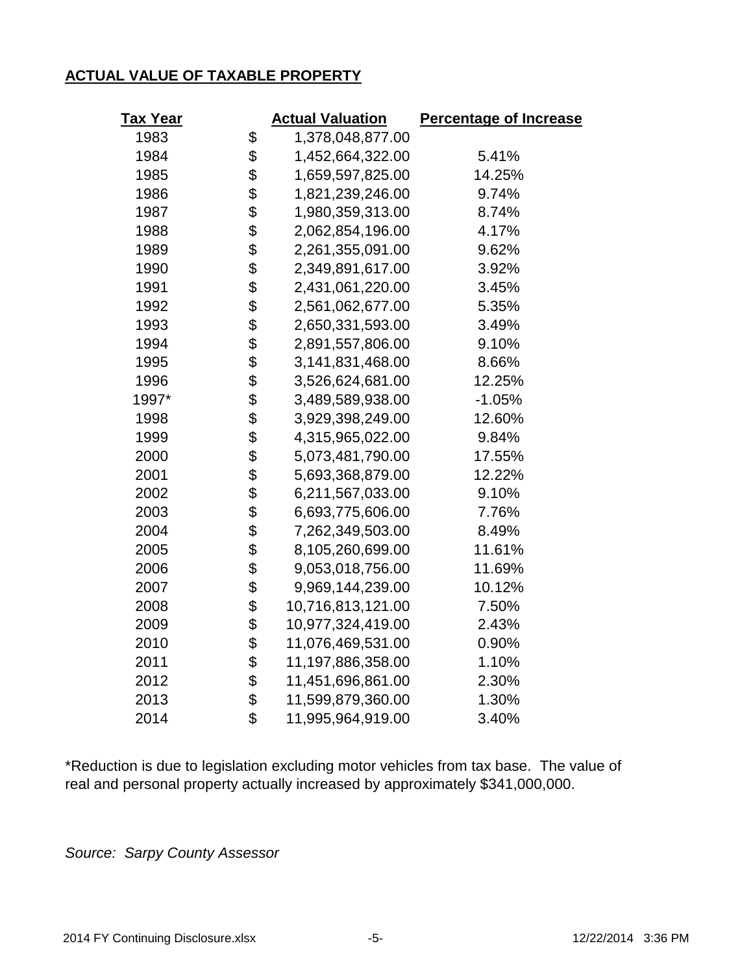# **ACTUAL VALUE OF TAXABLE PROPERTY**

| Tax Year | <b>Actual Valuation</b> | <b>Percentage of Increase</b> |
|----------|-------------------------|-------------------------------|
| 1983     | \$<br>1,378,048,877.00  |                               |
| 1984     | \$<br>1,452,664,322.00  | 5.41%                         |
| 1985     | \$<br>1,659,597,825.00  | 14.25%                        |
| 1986     | \$<br>1,821,239,246.00  | 9.74%                         |
| 1987     | \$<br>1,980,359,313.00  | 8.74%                         |
| 1988     | \$<br>2,062,854,196.00  | 4.17%                         |
| 1989     | \$<br>2,261,355,091.00  | 9.62%                         |
| 1990     | \$<br>2,349,891,617.00  | 3.92%                         |
| 1991     | \$<br>2,431,061,220.00  | 3.45%                         |
| 1992     | \$<br>2,561,062,677.00  | 5.35%                         |
| 1993     | \$<br>2,650,331,593.00  | 3.49%                         |
| 1994     | \$<br>2,891,557,806.00  | 9.10%                         |
| 1995     | \$<br>3,141,831,468.00  | 8.66%                         |
| 1996     | \$<br>3,526,624,681.00  | 12.25%                        |
| 1997*    | \$<br>3,489,589,938.00  | $-1.05%$                      |
| 1998     | \$<br>3,929,398,249.00  | 12.60%                        |
| 1999     | \$<br>4,315,965,022.00  | 9.84%                         |
| 2000     | \$<br>5,073,481,790.00  | 17.55%                        |
| 2001     | \$<br>5,693,368,879.00  | 12.22%                        |
| 2002     | \$<br>6,211,567,033.00  | 9.10%                         |
| 2003     | \$<br>6,693,775,606.00  | 7.76%                         |
| 2004     | \$<br>7,262,349,503.00  | 8.49%                         |
| 2005     | \$<br>8,105,260,699.00  | 11.61%                        |
| 2006     | \$<br>9,053,018,756.00  | 11.69%                        |
| 2007     | \$<br>9,969,144,239.00  | 10.12%                        |
| 2008     | \$<br>10,716,813,121.00 | 7.50%                         |
| 2009     | \$<br>10,977,324,419.00 | 2.43%                         |
| 2010     | \$<br>11,076,469,531.00 | 0.90%                         |
| 2011     | \$<br>11,197,886,358.00 | 1.10%                         |
| 2012     | \$<br>11,451,696,861.00 | 2.30%                         |
| 2013     | \$<br>11,599,879,360.00 | 1.30%                         |
| 2014     | \$<br>11,995,964,919.00 | 3.40%                         |

\*Reduction is due to legislation excluding motor vehicles from tax base. The value of real and personal property actually increased by approximately \$341,000,000.

*Source: Sarpy County Assessor*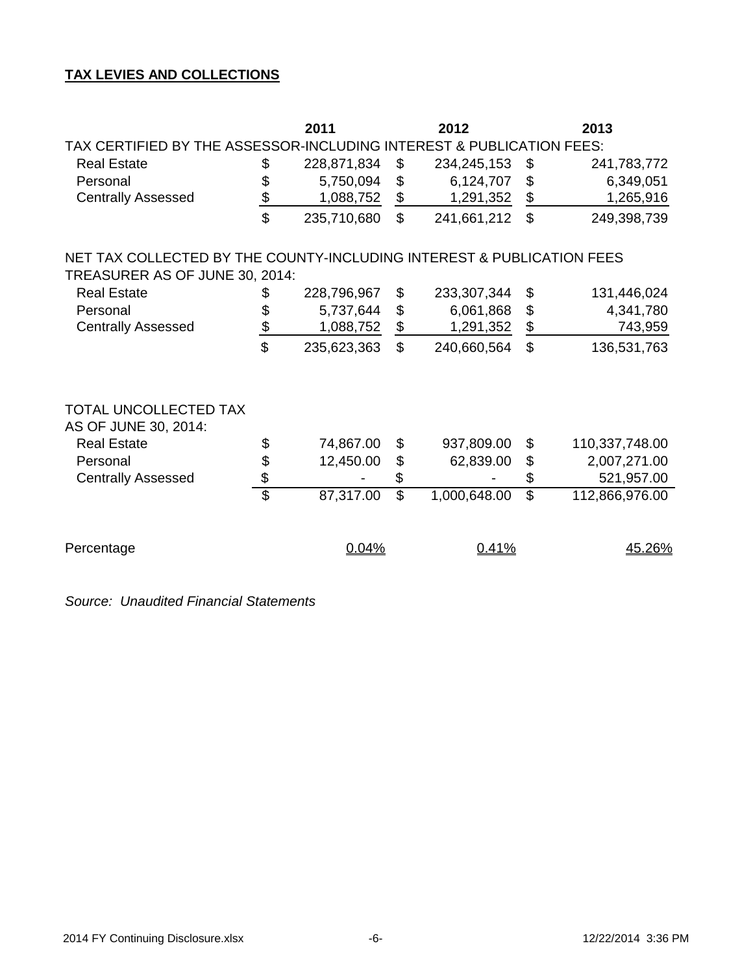## **TAX LEVIES AND COLLECTIONS**

|                                                                       |                 | 2011        |                           | 2012         |                          | 2013           |  |  |  |  |  |  |
|-----------------------------------------------------------------------|-----------------|-------------|---------------------------|--------------|--------------------------|----------------|--|--|--|--|--|--|
| TAX CERTIFIED BY THE ASSESSOR-INCLUDING INTEREST & PUBLICATION FEES:  |                 |             |                           |              |                          |                |  |  |  |  |  |  |
| <b>Real Estate</b>                                                    | \$              | 228,871,834 | \$                        | 234,245,153  | \$                       | 241,783,772    |  |  |  |  |  |  |
| Personal                                                              | \$              | 5,750,094   | $\boldsymbol{\mathsf{S}}$ | 6,124,707    | \$                       | 6,349,051      |  |  |  |  |  |  |
| <b>Centrally Assessed</b>                                             | $\frac{1}{2}$   | 1,088,752   | \$                        | 1,291,352    | \$                       | 1,265,916      |  |  |  |  |  |  |
|                                                                       | $\mathfrak{D}$  | 235,710,680 | $\mathbb{S}$              | 241,661,212  | \$                       | 249,398,739    |  |  |  |  |  |  |
| NET TAX COLLECTED BY THE COUNTY-INCLUDING INTEREST & PUBLICATION FEES |                 |             |                           |              |                          |                |  |  |  |  |  |  |
| TREASURER AS OF JUNE 30, 2014:                                        |                 |             |                           |              |                          |                |  |  |  |  |  |  |
| <b>Real Estate</b>                                                    | \$              | 228,796,967 | \$                        | 233,307,344  | \$                       | 131,446,024    |  |  |  |  |  |  |
| Personal                                                              | \$              | 5,737,644   | $\boldsymbol{\mathsf{S}}$ | 6,061,868    | \$                       | 4,341,780      |  |  |  |  |  |  |
| <b>Centrally Assessed</b>                                             | $\frac{1}{2}$   | 1,088,752   | $\frac{1}{2}$             | 1,291,352    | $\frac{1}{2}$            | 743,959        |  |  |  |  |  |  |
|                                                                       | \$              | 235,623,363 | $\mathbb{S}$              | 240,660,564  | $\mathbb{S}$             | 136,531,763    |  |  |  |  |  |  |
| TOTAL UNCOLLECTED TAX<br>AS OF JUNE 30, 2014:                         |                 |             |                           |              |                          |                |  |  |  |  |  |  |
| <b>Real Estate</b>                                                    | \$              | 74,867.00   | \$                        | 937,809.00   | \$                       | 110,337,748.00 |  |  |  |  |  |  |
| Personal                                                              |                 | 12,450.00   | $\boldsymbol{\mathsf{S}}$ | 62,839.00    | \$                       | 2,007,271.00   |  |  |  |  |  |  |
| <b>Centrally Assessed</b>                                             | \$              |             | \$                        |              | \$                       | 521,957.00     |  |  |  |  |  |  |
|                                                                       | $\overline{\$}$ | 87,317.00   | $\overline{\mathcal{S}}$  | 1,000,648.00 | $\overline{\mathcal{S}}$ | 112,866,976.00 |  |  |  |  |  |  |
| Percentage                                                            |                 | 0.04%       |                           | 0.41%        |                          | 45.26%         |  |  |  |  |  |  |

*Source: Unaudited Financial Statements*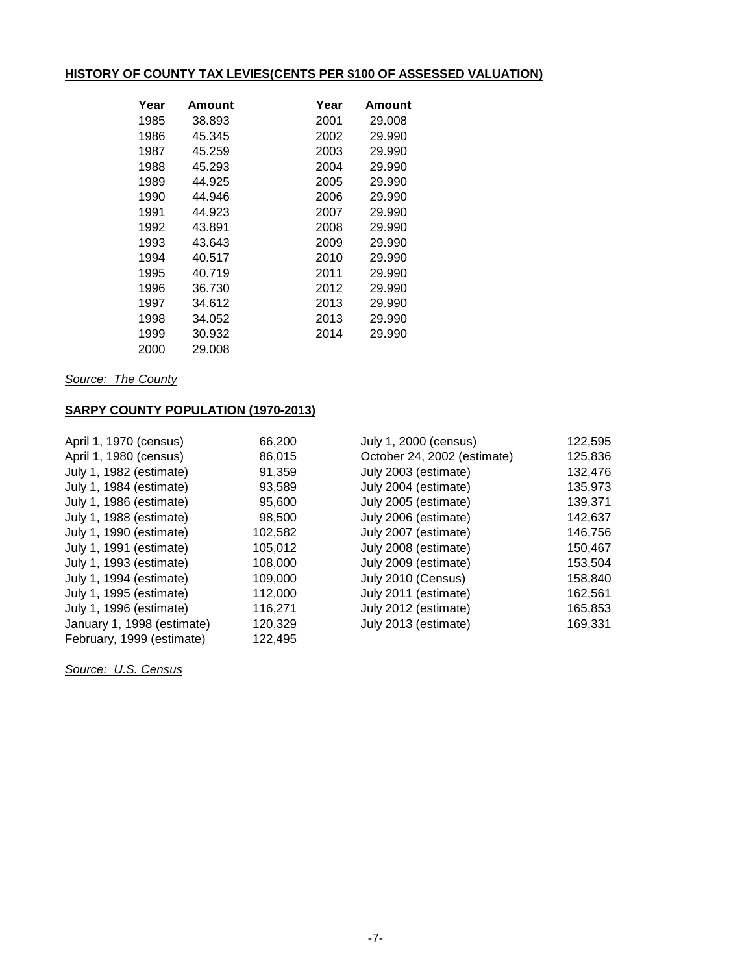# **HISTORY OF COUNTY TAX LEVIES(CENTS PER \$100 OF ASSESSED VALUATION)**

| Year | Amount | Year | Amount |
|------|--------|------|--------|
| 1985 | 38.893 | 2001 | 29.008 |
| 1986 | 45.345 | 2002 | 29.990 |
| 1987 | 45.259 | 2003 | 29.990 |
| 1988 | 45.293 | 2004 | 29.990 |
| 1989 | 44.925 | 2005 | 29.990 |
| 1990 | 44.946 | 2006 | 29.990 |
| 1991 | 44.923 | 2007 | 29.990 |
| 1992 | 43.891 | 2008 | 29.990 |
| 1993 | 43.643 | 2009 | 29.990 |
| 1994 | 40.517 | 2010 | 29.990 |
| 1995 | 40.719 | 2011 | 29.990 |
| 1996 | 36.730 | 2012 | 29.990 |
| 1997 | 34.612 | 2013 | 29.990 |
| 1998 | 34.052 | 2013 | 29.990 |
| 1999 | 30.932 | 2014 | 29.990 |
| 2000 | 29.008 |      |        |

*Source: The County*

## **SARPY COUNTY POPULATION (1970-2013)**

| April 1, 1970 (census)     | 66,200  | July 1, 2000 (census)       | 122,595 |
|----------------------------|---------|-----------------------------|---------|
| April 1, 1980 (census)     | 86,015  | October 24, 2002 (estimate) | 125,836 |
| July 1, 1982 (estimate)    | 91,359  | July 2003 (estimate)        | 132,476 |
| July 1, 1984 (estimate)    | 93,589  | July 2004 (estimate)        | 135,973 |
| July 1, 1986 (estimate)    | 95,600  | July 2005 (estimate)        | 139,371 |
| July 1, 1988 (estimate)    | 98,500  | July 2006 (estimate)        | 142,637 |
| July 1, 1990 (estimate)    | 102,582 | July 2007 (estimate)        | 146,756 |
| July 1, 1991 (estimate)    | 105,012 | July 2008 (estimate)        | 150,467 |
| July 1, 1993 (estimate)    | 108,000 | July 2009 (estimate)        | 153,504 |
| July 1, 1994 (estimate)    | 109,000 | July 2010 (Census)          | 158,840 |
| July 1, 1995 (estimate)    | 112,000 | July 2011 (estimate)        | 162,561 |
| July 1, 1996 (estimate)    | 116,271 | July 2012 (estimate)        | 165,853 |
| January 1, 1998 (estimate) | 120,329 | July 2013 (estimate)        | 169,331 |
| February, 1999 (estimate)  | 122,495 |                             |         |

*Source: U.S. Census*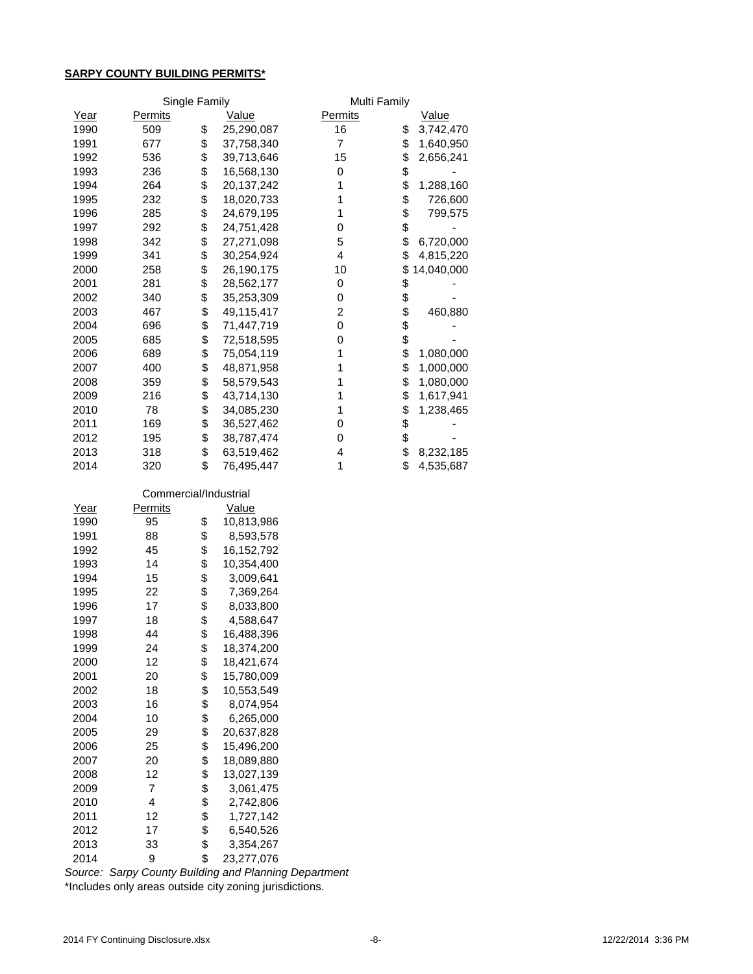## **SARPY COUNTY BUILDING PERMITS\***

|             |                | Single Family | Multi Family |                |    |            |  |
|-------------|----------------|---------------|--------------|----------------|----|------------|--|
| <u>Year</u> | <b>Permits</b> |               | <u>Value</u> | <b>Permits</b> |    | Value      |  |
| 1990        | 509            | \$            | 25,290,087   | 16             | \$ | 3,742,470  |  |
| 1991        | 677            | \$            | 37,758,340   | 7              | \$ | 1,640,950  |  |
| 1992        | 536            | \$            | 39,713,646   | 15             | \$ | 2,656,241  |  |
| 1993        | 236            | \$            | 16,568,130   | 0              | \$ |            |  |
| 1994        | 264            | \$            | 20, 137, 242 | 1              | \$ | 1,288,160  |  |
| 1995        | 232            | \$            | 18,020,733   |                | \$ | 726,600    |  |
| 1996        | 285            | \$            | 24,679,195   | 1              | \$ | 799,575    |  |
| 1997        | 292            | \$            | 24,751,428   | 0              | \$ |            |  |
| 1998        | 342            | \$            | 27,271,098   | 5              | \$ | 6,720,000  |  |
| 1999        | 341            | \$            | 30,254,924   | 4              | \$ | 4,815,220  |  |
| 2000        | 258            | \$            | 26,190,175   | 10             | \$ | 14,040,000 |  |
| 2001        | 281            | \$            | 28,562,177   | 0              | \$ |            |  |
| 2002        | 340            | \$            | 35,253,309   | 0              | \$ |            |  |
| 2003        | 467            | \$            | 49,115,417   | 2              | \$ | 460,880    |  |
| 2004        | 696            | \$            | 71,447,719   | 0              | \$ |            |  |
| 2005        | 685            | \$            | 72,518,595   | 0              | \$ |            |  |
| 2006        | 689            | \$            | 75,054,119   | 1              | \$ | 1,080,000  |  |
| 2007        | 400            | \$            | 48,871,958   | 1              | \$ | 1,000,000  |  |
| 2008        | 359            | \$            | 58,579,543   |                | \$ | 1,080,000  |  |
| 2009        | 216            | \$            | 43,714,130   |                | \$ | 1,617,941  |  |
| 2010        | 78             | \$            | 34,085,230   |                | \$ | 1,238,465  |  |
| 2011        | 169            | \$            | 36,527,462   | 0              | \$ |            |  |
| 2012        | 195            | \$            | 38,787,474   | 0              | \$ |            |  |
| 2013        | 318            | \$            | 63,519,462   | 4              | \$ | 8,232,185  |  |
| 2014        | 320            | \$            | 76,495,447   | 1              | \$ | 4,535,687  |  |

|      |         | Commercial/Industrial |            |  |  |  |  |  |
|------|---------|-----------------------|------------|--|--|--|--|--|
| Year | Permits |                       | Value      |  |  |  |  |  |
| 1990 | 95      | \$                    | 10,813,986 |  |  |  |  |  |
| 1991 | 88      | \$                    | 8,593,578  |  |  |  |  |  |
| 1992 | 45      | \$                    | 16,152,792 |  |  |  |  |  |
| 1993 | 14      | \$                    | 10,354,400 |  |  |  |  |  |
| 1994 | 15      | \$                    | 3,009,641  |  |  |  |  |  |
| 1995 | 22      | \$                    | 7,369,264  |  |  |  |  |  |
| 1996 | 17      | \$                    | 8,033,800  |  |  |  |  |  |
| 1997 | 18      | \$                    | 4,588,647  |  |  |  |  |  |
| 1998 | 44      | \$                    | 16,488,396 |  |  |  |  |  |
| 1999 | 24      | \$                    | 18,374,200 |  |  |  |  |  |
| 2000 | 12      | \$                    | 18,421,674 |  |  |  |  |  |
| 2001 | 20      | \$                    | 15,780,009 |  |  |  |  |  |
| 2002 | 18      | \$                    | 10,553,549 |  |  |  |  |  |
| 2003 | 16      | \$                    | 8,074,954  |  |  |  |  |  |
| 2004 | 10      | \$                    | 6,265,000  |  |  |  |  |  |
| 2005 | 29      | \$                    | 20,637,828 |  |  |  |  |  |
| 2006 | 25      | \$                    | 15,496,200 |  |  |  |  |  |
| 2007 | 20      | \$                    | 18,089,880 |  |  |  |  |  |
| 2008 | 12      | \$                    | 13,027,139 |  |  |  |  |  |
| 2009 | 7       | \$                    | 3,061,475  |  |  |  |  |  |
| 2010 | 4       | \$                    | 2,742,806  |  |  |  |  |  |
| 2011 | 12      | \$                    | 1,727,142  |  |  |  |  |  |
| 2012 | 17      | \$                    | 6,540,526  |  |  |  |  |  |
| 2013 | 33      | \$                    | 3,354,267  |  |  |  |  |  |
| 2014 | 9       | \$                    | 23,277,076 |  |  |  |  |  |

\*Includes only areas outside city zoning jurisdictions. *Source: Sarpy County Building and Planning Department*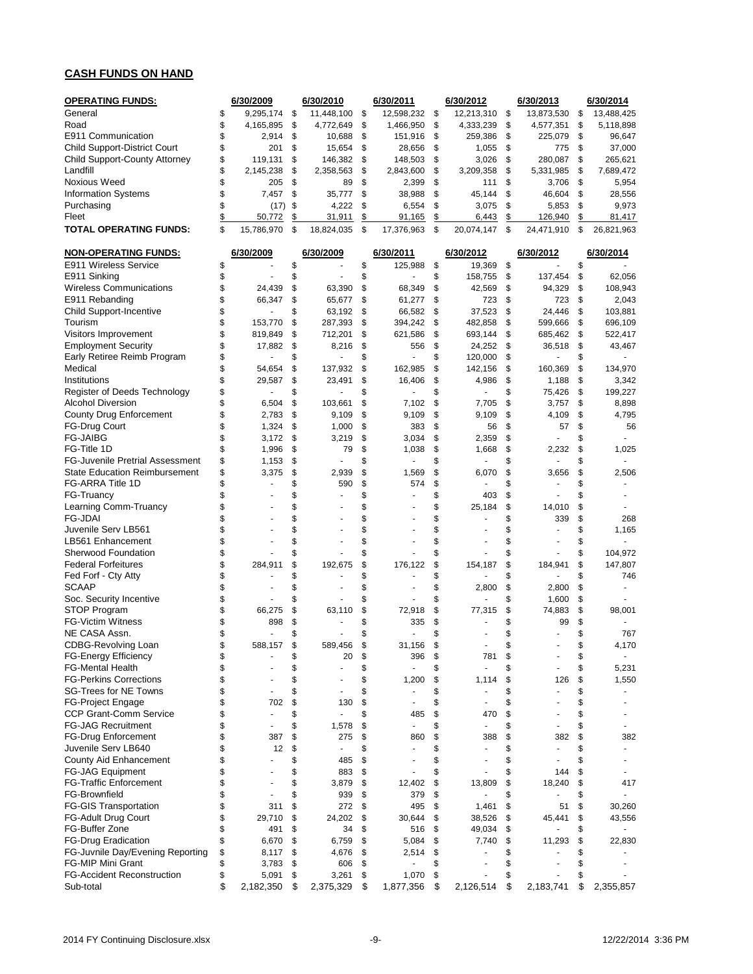## **CASH FUNDS ON HAND**

| <b>OPERATING FUNDS:</b>                        |          | 6/30/2009            |          | 6/30/2010         |          | 6/30/2011            |          | 6/30/2012          |          | 6/30/2013            |          | 6/30/2014                |
|------------------------------------------------|----------|----------------------|----------|-------------------|----------|----------------------|----------|--------------------|----------|----------------------|----------|--------------------------|
| General                                        | \$       | 9,295,174            | \$       | 11,448,100        | \$       | 12,598,232           | \$       | 12,213,310         | \$       | 13,873,530           | \$       | 13,488,425               |
| Road                                           | \$       | 4,165,895            | \$       | 4,772,649         | \$       | 1,466,950            | \$       | 4,333,239          | \$       | 4,577,351            | \$       | 5,118,898                |
| E911 Communication                             | \$       | 2,914                | \$       | 10,688            | \$       | 151,916              | \$       | 259,386            | \$       | 225,079              | \$       | 96,647                   |
| <b>Child Support-District Court</b>            | \$       | 201                  | \$       | 15,654<br>146,382 | \$       | 28,656               | \$       | 1,055              | \$       | 775                  | \$       | 37,000                   |
| Child Support-County Attorney<br>Landfill      | \$<br>\$ | 119,131<br>2,145,238 | \$<br>\$ | 2,358,563         | \$<br>\$ | 148,503<br>2,843,600 | \$<br>\$ | 3,026<br>3,209,358 | \$<br>\$ | 280,087<br>5,331,985 | \$<br>\$ | 265,621<br>7,689,472     |
| <b>Noxious Weed</b>                            | \$       | 205                  | \$       | 89                | \$       | 2,399                | \$       | 111                | \$       | 3,706                | \$       | 5,954                    |
| <b>Information Systems</b>                     | \$       | 7,457                | \$       | 35,777            | \$       | 38,988               | \$       | 45,144             | \$       | 46,604               | \$       | 28,556                   |
| Purchasing                                     | \$       | (17)                 | \$       | 4,222             | \$       | 6,554                | \$       | 3,075              | \$       | 5,853                | \$       | 9,973                    |
| Fleet                                          | \$       | 50,772               | \$       | 31,911            | \$       | 91,165               | \$       | 6,443              | \$       | 126,940              | \$       | 81,417                   |
| TOTAL OPERATING FUNDS:                         | \$       | 15,786,970           | \$       | 18,824,035        | \$       | 17,376,963           | \$       | 20,074,147         | \$       | 24,471,910           | \$       | 26,821,963               |
| <b>NON-OPERATING FUNDS:</b>                    |          | 6/30/2009            |          | 6/30/2009         |          | 6/30/2011            |          | 6/30/2012          |          | 6/30/2012            |          | 6/30/2014                |
| E911 Wireless Service                          | \$       |                      | \$       |                   | \$       | 125,988              | \$       | 19,369             | \$       |                      | \$       |                          |
| E911 Sinking                                   | \$       |                      | \$       |                   | \$       |                      | \$       | 158,755            | \$       | 137,454              | \$       | 62,056                   |
| <b>Wireless Communications</b>                 | \$       | 24,439               | \$       | 63,390            | \$       | 68,349               | \$       | 42,569             | \$       | 94,329               | \$       | 108,943                  |
| E911 Rebanding                                 | \$       | 66,347               | \$       | 65,677            | \$       | 61,277               | \$       | 723                | \$       | 723                  | \$       | 2,043                    |
| Child Support-Incentive                        | \$       |                      | \$       | 63,192            | \$       | 66,582               | \$       | 37,523             | \$       | 24,446               | \$       | 103,881                  |
| Tourism                                        | \$       | 153,770              | \$       | 287,393           | \$       | 394,242              | \$       | 482,858            | \$       | 599,666              | \$       | 696,109                  |
| Visitors Improvement                           | \$       | 819,849              | \$       | 712,201           | \$       | 621,586              | \$       | 693,144            | \$       | 685,462              | \$       | 522,417                  |
| <b>Employment Security</b>                     | \$       | 17,882               | \$       | 8,216             | \$       | 556                  | \$       | 24,252             | \$       | 36,518               | \$       | 43,467                   |
| Early Retiree Reimb Program<br>Medical         | \$       |                      | \$       |                   | \$       |                      | \$       | 120,000            | \$       |                      | \$       |                          |
| Institutions                                   | \$<br>\$ | 54,654<br>29.587     | \$<br>\$ | 137,932           | \$<br>\$ | 162,985<br>16,406    | \$<br>\$ | 142,156<br>4,986   | \$<br>\$ | 160,369<br>1,188     | \$<br>\$ | 134,970<br>3,342         |
| Register of Deeds Technology                   | \$       | ÷,                   | \$       | 23,491            | \$       |                      | \$       |                    | \$       | 75,426               | \$       | 199,227                  |
| <b>Alcohol Diversion</b>                       | \$       | 6,504                | \$       | 103,661           | \$       | 7,102                | \$       | 7,705              | \$       | 3,757                | \$       | 8,898                    |
| <b>County Drug Enforcement</b>                 | \$       | 2,783                | \$       | 9,109             | \$       | 9,109                | \$       | 9,109              | \$       | 4,109                | \$       | 4,795                    |
| FG-Drug Court                                  | \$       | 1,324                | \$       | 1,000             | \$       | 383                  | \$       | 56                 | \$       | 57                   | \$       | 56                       |
| <b>FG-JAIBG</b>                                | \$       | 3,172                | \$       | 3,219             | \$       | 3,034                | \$       | 2,359              | \$       |                      | \$       | ÷.                       |
| FG-Title 1D                                    | \$       | 1,996                | \$       | 79                | \$       | 1,038                | \$       | 1,668              | \$       | 2,232                | \$       | 1,025                    |
| <b>FG-Juvenile Pretrial Assessment</b>         | \$       | 1,153                | \$       |                   | \$       |                      | \$       |                    | \$       |                      | \$       |                          |
| <b>State Education Reimbursement</b>           | \$       | 3,375                | \$       | 2,939             | \$       | 1,569                | \$       | 6,070              | \$       | 3,656                | \$       | 2,506                    |
| FG-ARRA Title 1D                               | \$       |                      | \$       | 590               | \$       | 574                  | \$       |                    | \$       |                      | \$       |                          |
| FG-Truancy                                     | \$       |                      | \$       |                   | \$       |                      | \$       | 403                | \$       |                      | \$       |                          |
| Learning Comm-Truancy                          | \$       |                      | \$       |                   | \$       |                      | \$       | 25,184             | \$       | 14,010               | \$       |                          |
| <b>FG-JDAI</b>                                 | \$       |                      | \$       |                   | \$       |                      | \$       |                    | \$       | 339                  | \$       | 268                      |
| Juvenile Serv LB561                            | \$       |                      | \$       |                   | \$       |                      | \$       |                    | \$       |                      | \$       | 1,165                    |
| LB561 Enhancement                              | \$       |                      | \$       |                   | \$       |                      | \$       |                    | \$       |                      | \$       |                          |
| Sherwood Foundation                            | \$       |                      | \$       |                   | \$       |                      | \$       |                    | \$       |                      | \$       | 104,972                  |
| <b>Federal Forfeitures</b>                     | \$<br>\$ | 284,911              | \$<br>\$ | 192,675           | \$<br>\$ | 176,122              | \$<br>\$ | 154,187            | \$<br>\$ | 184,941              | \$<br>\$ | 147,807<br>746           |
| Fed Forf - Cty Atty<br><b>SCAAP</b>            | \$       |                      | \$       |                   | \$       |                      | \$       | 2,800              | \$       | 2,800                | \$       |                          |
| Soc. Security Incentive                        | \$       |                      | \$       |                   | \$       |                      | \$       |                    | \$       | 1,600                | \$       |                          |
| STOP Program                                   | \$       | 66,275               | \$       | 63,110            | \$       | 72,918               | \$       | 77,315             | \$       | 74,883               | \$       | 98,001                   |
| <b>FG-Victim Witness</b>                       | \$       | 898                  | \$       |                   | \$       | 335                  | \$       |                    | \$       | 99                   | \$       |                          |
| NE CASA Assn.                                  | \$       |                      | \$       |                   | \$       |                      | \$       |                    | \$       |                      | \$       | 767                      |
| CDBG-Revolving Loan                            | \$       | 588.157              | \$       | 589,456           | \$       | 31,156               | ፍ        |                    | ፍ        |                      | ¢        | 4,170                    |
| <b>FG-Energy Efficiency</b>                    | \$       |                      | \$       | 20                | \$       | 396                  | \$       | 781                | \$       |                      | \$       |                          |
| <b>FG-Mental Health</b>                        | \$       |                      | \$       |                   | \$       |                      | \$       |                    | \$       |                      | \$       | 5,231                    |
| <b>FG-Perkins Corrections</b>                  | \$       |                      | \$       |                   | \$       | 1,200                | \$       | 1,114              | \$       | 126                  | \$       | 1,550                    |
| <b>SG-Trees for NE Towns</b>                   | \$       |                      | \$       |                   | \$       |                      | \$       |                    | \$       |                      | \$       |                          |
| FG-Project Engage                              | \$       | 702                  | \$       | 130               | \$       | $\blacksquare$       | \$       | ٠                  | \$       |                      | \$       | $\overline{\phantom{a}}$ |
| <b>CCP Grant-Comm Service</b>                  | \$       | ÷,                   | \$       |                   | \$       | 485                  | \$       | 470                | \$       |                      | \$       |                          |
| <b>FG-JAG Recruitment</b>                      | \$       |                      | \$       | 1,578             | \$       | ä,                   | \$       | ÷,                 | \$       |                      | \$       |                          |
| <b>FG-Drug Enforcement</b>                     | \$       | 387                  | \$       | 275               | \$       | 860                  | \$       | 388                | \$       | 382                  | \$       | 382                      |
| Juvenile Serv LB640                            | \$       | 12                   | \$       |                   | \$       |                      | \$       |                    | \$       |                      | \$       | $\blacksquare$           |
| County Aid Enhancement                         | \$       |                      | \$       | 485               | \$       |                      | \$       |                    | \$       |                      | \$       |                          |
| <b>FG-JAG Equipment</b>                        | \$       |                      | \$       | 883               | \$       |                      | \$       |                    | \$       | 144                  | \$       |                          |
| <b>FG-Traffic Enforcement</b><br>FG-Brownfield | \$<br>\$ |                      | \$<br>\$ | 3,879<br>939      | \$<br>\$ | 12,402<br>379        | \$<br>\$ | 13,809             | \$<br>\$ | 18,240               | \$<br>\$ | 417                      |
| <b>FG-GIS Transportation</b>                   | \$       | 311                  | \$       | 272               | \$       | 495                  | \$       | 1,461              | \$       | 51                   | \$       | 30,260                   |
| <b>FG-Adult Drug Court</b>                     | \$       | 29,710               | \$       | 24,202            | \$       | 30,644               | \$       | 38,526             | \$       | 45,441               | \$       | 43,556                   |
| FG-Buffer Zone                                 | \$       | 491                  | \$       | 34                | \$       | 516                  | \$       | 49,034             | \$       |                      | \$       |                          |
| <b>FG-Drug Eradication</b>                     | \$       | 6,670                | \$       | 6,759             | \$       | 5,084                | \$       | 7,740              | \$       | 11,293               | \$       | 22,830                   |
| FG-Juvnile Day/Evening Reporting               | \$       | 8,117                | \$       | 4,676             | \$       | 2,514                | \$       |                    | \$       |                      | \$       |                          |
| FG-MIP Mini Grant                              | \$       | 3,783                | \$       | 606               | \$       | ÷,                   | \$       |                    | \$       |                      | \$       |                          |
| <b>FG-Accident Reconstruction</b>              | \$       | 5,091                | \$       | 3,261             | \$       | 1,070                | \$       |                    | \$       |                      | \$       |                          |
| Sub-total                                      | \$       | 2,182,350            | \$       | 2,375,329         | \$       | 1,877,356            | \$       | 2,126,514          | \$       | 2,183,741            | \$       | 2,355,857                |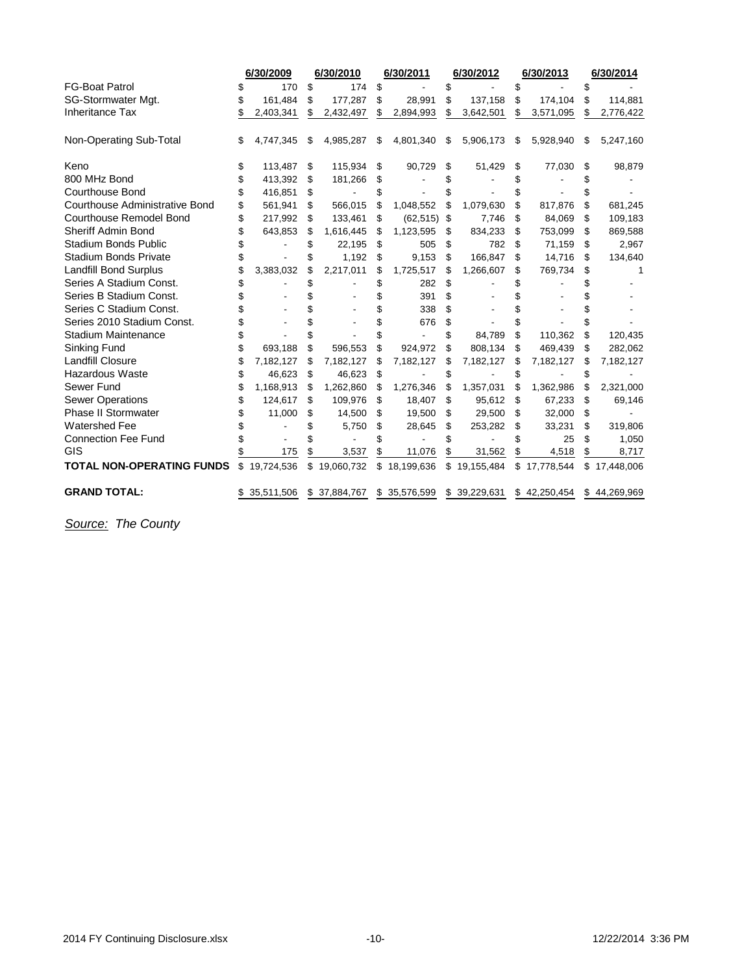|                                       | 6/30/2009<br>6/30/2010 |                | 6/30/2011       | 6/30/2012 |              |    | 6/30/2013    | 6/30/2014 |              |    |              |
|---------------------------------------|------------------------|----------------|-----------------|-----------|--------------|----|--------------|-----------|--------------|----|--------------|
| <b>FG-Boat Patrol</b>                 | \$                     | 170            | \$<br>174       | \$        |              | \$ |              | \$        |              |    |              |
| SG-Stormwater Mgt.                    |                        | 161,484        | \$<br>177,287   | \$        | 28,991       | \$ | 137,158      | \$        | 174,104      | \$ | 114,881      |
| <b>Inheritance Tax</b>                |                        | 2,403,341      | \$<br>2,432,497 | \$        | 2,894,993    | \$ | 3,642,501    | S         | 3,571,095    | \$ | 2,776,422    |
| Non-Operating Sub-Total               | \$                     | 4,747,345      | \$<br>4,985,287 | \$        | 4,801,340    | \$ | 5,906,173    | \$        | 5,928,940    | \$ | 5,247,160    |
| Keno                                  |                        | 113,487        | \$<br>115,934   | \$        | 90,729       | \$ | 51,429       | \$        | 77,030       | \$ | 98,879       |
| 800 MHz Bond                          | \$                     | 413,392        | \$<br>181,266   | S         |              | \$ |              |           |              |    |              |
| <b>Courthouse Bond</b>                |                        | 416,851        | \$              | \$        |              | \$ |              |           |              |    |              |
| <b>Courthouse Administrative Bond</b> | \$                     | 561,941        | \$<br>566,015   | \$        | 1,048,552    | \$ | 1,079,630    | S         | 817,876      | \$ | 681,245      |
| <b>Courthouse Remodel Bond</b>        | \$                     | 217,992        | \$<br>133,461   | \$        | (62, 515)    | \$ | 7,746        | \$        | 84,069       | \$ | 109,183      |
| <b>Sheriff Admin Bond</b>             |                        | 643,853        | \$<br>1,616,445 | \$.       | 1,123,595    | \$ | 834,233      | S         | 753,099      | \$ | 869,588      |
| <b>Stadium Bonds Public</b>           |                        |                | \$<br>22,195    | \$        | 505          | \$ | 782          | \$        | 71,159       | \$ | 2,967        |
| <b>Stadium Bonds Private</b>          | \$                     |                | 1,192           | \$        | 9,153        | \$ | 166.847      | \$        | 14,716       | \$ | 134,640      |
| <b>Landfill Bond Surplus</b>          |                        | 3,383,032      | \$<br>2,217,011 | \$        | 1,725,517    | \$ | 1,266,607    | \$        | 769,734      | \$ |              |
| Series A Stadium Const.               |                        |                |                 | \$        | 282          | \$ |              |           |              |    |              |
| Series B Stadium Const.               |                        |                |                 | S         | 391          | \$ |              |           |              |    |              |
| Series C Stadium Const.               |                        |                |                 | \$        | 338          | \$ |              |           |              |    |              |
| Series 2010 Stadium Const.            |                        |                |                 | \$        | 676          | \$ |              |           |              |    |              |
| <b>Stadium Maintenance</b>            |                        |                |                 |           |              | \$ | 84,789       | \$        | 110,362      | \$ | 120,435      |
| Sinking Fund                          | \$                     | 693,188        | \$<br>596,553   | \$        | 924,972      | \$ | 808,134      | \$        | 469,439      | S  | 282,062      |
| <b>Landfill Closure</b>               |                        | 7,182,127      | \$<br>7,182,127 | \$        | 7,182,127    | \$ | 7,182,127    | \$        | 7,182,127    | \$ | 7,182,127    |
| <b>Hazardous Waste</b>                | \$                     | 46,623         | \$<br>46,623    | \$        |              | \$ |              | \$        |              | \$ |              |
| Sewer Fund                            |                        | 1,168,913      | \$<br>1,262,860 | \$        | 1,276,346    | \$ | 1,357,031    | \$        | 1,362,986    | \$ | 2,321,000    |
| <b>Sewer Operations</b>               |                        | 124,617        | \$<br>109,976   | \$        | 18,407       | \$ | 95,612       | \$        | 67,233       | \$ | 69,146       |
| <b>Phase II Stormwater</b>            | \$                     | 11,000         | \$<br>14,500    | S         | 19,500       | \$ | 29,500       | S         | 32,000       | \$ |              |
| <b>Watershed Fee</b>                  |                        |                | 5,750           | \$        | 28,645       | \$ | 253,282      | \$        | 33,231       | \$ | 319,806      |
| <b>Connection Fee Fund</b>            |                        | $\overline{a}$ |                 | \$        |              | \$ |              | \$        | 25           | \$ | 1,050        |
| GIS                                   |                        | 175            | 3,537           | \$        | 11,076       | \$ | 31,562       | \$        | 4,518        | \$ | 8,717        |
| <b>TOTAL NON-OPERATING FUNDS</b>      | \$                     | 19,724,536     | \$19,060,732    |           | \$18,199,636 | \$ | 19,155,484   |           | \$17,778,544 | \$ | 17,448,006   |
| <b>GRAND TOTAL:</b>                   |                        | \$ 35,511,506  | \$ 37,884,767   |           | \$35,576,599 |    | \$39,229,631 |           | \$42,250,454 |    | \$44,269,969 |

*Source: The County*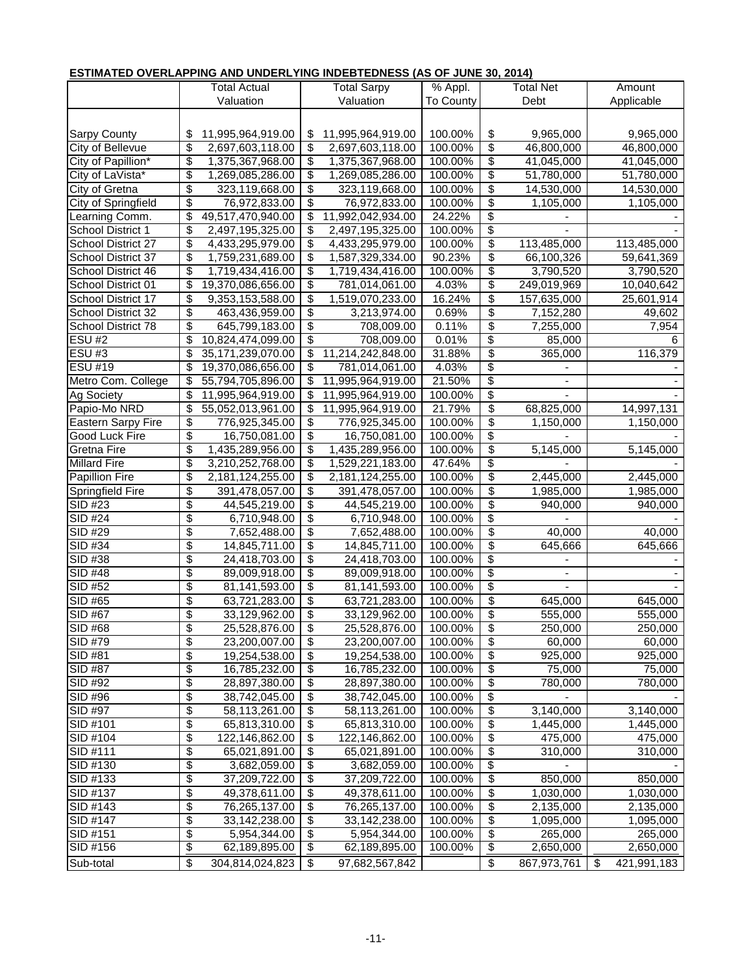## **ESTIMATED OVERLAPPING AND UNDERLYING INDEBTEDNESS (AS OF JUNE 30, 2014)**

|                      |                                        | Total Actual         |          | <b>Total Sarpy</b> | % Appl.            | Total Net                        |                |    | Amount      |  |  |  |
|----------------------|----------------------------------------|----------------------|----------|--------------------|--------------------|----------------------------------|----------------|----|-------------|--|--|--|
|                      |                                        | Valuation            |          | Valuation          | To County          |                                  | Debt           |    | Applicable  |  |  |  |
|                      |                                        |                      |          |                    |                    |                                  |                |    |             |  |  |  |
| <b>Sarpy County</b>  | \$                                     | 11,995,964,919.00    | \$       | 11,995,964,919.00  | 100.00%            | \$                               | 9,965,000      |    | 9,965,000   |  |  |  |
| City of Bellevue     | \$                                     | 2,697,603,118.00     | \$       | 2,697,603,118.00   | 100.00%            | \$                               | 46,800,000     |    | 46,800,000  |  |  |  |
| City of Papillion*   | \$                                     | 1,375,367,968.00     | \$       | 1,375,367,968.00   | 100.00%            | \$                               | 41,045,000     |    | 41,045,000  |  |  |  |
| City of LaVista*     | \$                                     | 1,269,085,286.00     | \$       | 1,269,085,286.00   | 100.00%            | \$                               | 51,780,000     |    | 51,780,000  |  |  |  |
| City of Gretna       | $\overline{\boldsymbol{\theta}}$       | 323,119,668.00       | \$       | 323,119,668.00     | 100.00%            | \$                               | 14,530,000     |    | 14,530,000  |  |  |  |
| City of Springfield  | $\overline{\boldsymbol{\theta}}$       | 76,972,833.00        | \$       | 76,972,833.00      | 100.00%            | \$                               | 1,105,000      |    | 1,105,000   |  |  |  |
| Learning Comm.       | \$                                     | 49,517,470,940.00    | \$       | 11,992,042,934.00  | 24.22%             | \$                               |                |    |             |  |  |  |
| School District 1    | \$                                     | 2,497,195,325.00     | \$       | 2,497,195,325.00   | 100.00%            | \$                               |                |    |             |  |  |  |
| School District 27   | \$                                     | 4,433,295,979.00     | \$       | 4,433,295,979.00   | 100.00%            | \$                               | 113,485,000    |    | 113,485,000 |  |  |  |
| School District 37   | \$                                     | 1,759,231,689.00     | \$       | 1,587,329,334.00   | 90.23%             | \$                               | 66,100,326     |    | 59,641,369  |  |  |  |
| School District 46   | \$                                     | 1,719,434,416.00     | \$       | 1,719,434,416.00   | 100.00%            | \$                               | 3,790,520      |    | 3,790,520   |  |  |  |
| School District 01   | \$                                     | 19,370,086,656.00    | \$       | 781,014,061.00     | 4.03%              | \$                               | 249,019,969    |    | 10,040,642  |  |  |  |
| School District 17   | \$                                     | 9,353,153,588.00     | \$       | 1,519,070,233.00   | 16.24%             | \$                               | 157,635,000    |    | 25,601,914  |  |  |  |
| School District 32   | \$                                     | 463,436,959.00       | \$       | 3,213,974.00       | 0.69%              | \$                               | 7,152,280      |    | 49,602      |  |  |  |
| School District 78   | \$                                     | 645,799,183.00       | \$       | 708,009.00         | 0.11%              | \$                               | 7,255,000      |    | 7,954       |  |  |  |
| <b>ESU #2</b>        | \$                                     | 10,824,474,099.00    | \$       | 708,009.00         | 0.01%              | \$                               | 85,000         |    | 6           |  |  |  |
| ESU#3                | \$                                     | 35, 171, 239, 070.00 | \$       | 11,214,242,848.00  | 31.88%             | \$                               | 365,000        |    | 116,379     |  |  |  |
| <b>ESU #19</b>       | $\overline{\boldsymbol{\theta}}$       | 19,370,086,656.00    | \$       | 781,014,061.00     | 4.03%              | \$                               |                |    |             |  |  |  |
| Metro Com. College   | \$                                     | 55,794,705,896.00    | \$       | 11,995,964,919.00  | 21.50%             | \$                               |                |    |             |  |  |  |
| <b>Ag Society</b>    | \$                                     | 11,995,964,919.00    | \$       | 11,995,964,919.00  | 100.00%            | \$                               |                |    |             |  |  |  |
| Papio-Mo NRD         | \$                                     | 55,052,013,961.00    | \$       | 11,995,964,919.00  | 21.79%             | \$                               | 68,825,000     |    | 14,997,131  |  |  |  |
| Eastern Sarpy Fire   | $\overline{\mathbf{S}}$                | 776,925,345.00       | \$       | 776,925,345.00     | 100.00%            | \$                               | 1,150,000      |    | 1,150,000   |  |  |  |
| Good Luck Fire       | \$                                     | 16,750,081.00        | \$       | 16,750,081.00      | 100.00%            | \$                               |                |    |             |  |  |  |
| <b>Gretna Fire</b>   | \$                                     | 1,435,289,956.00     | \$       | 1,435,289,956.00   | 100.00%            | \$                               | 5,145,000      |    | 5,145,000   |  |  |  |
| <b>Millard Fire</b>  | \$                                     | 3,210,252,768.00     | \$       | 1,529,221,183.00   | 47.64%             | \$                               |                |    |             |  |  |  |
| Papillion Fire       | \$                                     | 2,181,124,255.00     | \$       | 2,181,124,255.00   | 100.00%            | \$                               | 2,445,000      |    | 2,445,000   |  |  |  |
| Springfield Fire     | \$                                     | 391,478,057.00       | \$       | 391,478,057.00     | 100.00%            | \$                               | 1,985,000      |    | 1,985,000   |  |  |  |
| SID #23              | $\overline{\boldsymbol{\theta}}$       | 44,545,219.00        | \$       | 44,545,219.00      | 100.00%            | \$                               | 940,000        |    | 940,000     |  |  |  |
| SID #24              | \$                                     | 6,710,948.00         | \$       | 6,710,948.00       | 100.00%            | \$                               |                |    |             |  |  |  |
| SID #29              | \$                                     | 7,652,488.00         | \$       | 7,652,488.00       | 100.00%            | \$                               | 40,000         |    | 40,000      |  |  |  |
| SID #34              | $\overline{\$}$                        | 14,845,711.00        | \$       | 14,845,711.00      | 100.00%            | \$                               | 645,666        |    | 645,666     |  |  |  |
| SID #38              | \$                                     | 24,418,703.00        | \$       | 24,418,703.00      | 100.00%            | \$                               |                |    |             |  |  |  |
| SID #48              | \$                                     | 89,009,918.00        | \$       | 89,009,918.00      | 100.00%            | \$                               |                |    |             |  |  |  |
| SID #52              | $\overline{\boldsymbol{\theta}}$       | 81,141,593.00        | \$       | 81,141,593.00      | 100.00%            | \$                               | $\blacksquare$ |    |             |  |  |  |
| $SID \#65$           | $\overline{\boldsymbol{\theta}}$       | 63,721,283.00        | \$       | 63,721,283.00      | 100.00%            | \$                               | 645,000        |    | 645,000     |  |  |  |
| SID #67              | \$                                     | 33,129,962.00        | \$       | 33,129,962.00      | 100.00%            | \$                               | 555,000        |    | 555,000     |  |  |  |
| SID #68              | \$                                     | 25,528,876.00        | \$       | 25,528,876.00      | 100.00%            | \$                               | 250,000        |    | 250,000     |  |  |  |
| SID #79              | $\overline{\mathcal{E}}$               | 23,200,007.00        | \$       | 23,200,007.00      | 100.00%            | \$                               | 60,000         |    | 60,000      |  |  |  |
| SID #81              | $\overline{\boldsymbol{\theta}}$       | 19,254,538.00        | \$       | 19,254,538.00      | 100.00%            | \$                               | 925,000        |    | 925,000     |  |  |  |
| <b>SID #87</b>       | $\overline{\boldsymbol{\theta}}$       | 16,785,232.00        | \$       | 16,785,232.00      | 100.00%            | \$                               | 75,000         |    | 75,000      |  |  |  |
| SID #92              | $\overline{\boldsymbol{\theta}}$       | 28,897,380.00        | \$       | 28,897,380.00      | 100.00%            | $\overline{\boldsymbol{\theta}}$ | 780,000        |    | 780,000     |  |  |  |
| SID #96              | $\overline{\boldsymbol{\theta}}$       | 38,742,045.00        | \$       | 38,742,045.00      | 100.00%            | \$                               |                |    |             |  |  |  |
| SID #97              | \$                                     | 58,113,261.00        | \$       | 58,113,261.00      | 100.00%            | \$                               | 3,140,000      |    | 3,140,000   |  |  |  |
| SID #101             | \$                                     | 65,813,310.00        | \$       | 65,813,310.00      | 100.00%            | \$                               | 1,445,000      |    | 1,445,000   |  |  |  |
| SID #104             | $\overline{\boldsymbol{\theta}}$       | 122,146,862.00       | \$       | 122,146,862.00     | 100.00%            | \$                               | 475,000        |    | 475,000     |  |  |  |
| SID #111             | $\overline{\boldsymbol{\theta}}$       | 65,021,891.00        | \$       | 65,021,891.00      | 100.00%            | \$                               | 310,000        |    | 310,000     |  |  |  |
| SID #130             | \$                                     | 3,682,059.00         | \$       | 3,682,059.00       | 100.00%            | \$                               |                |    |             |  |  |  |
| SID #133             | $\overline{\boldsymbol{\theta}}$       | 37,209,722.00        | \$       | 37,209,722.00      | 100.00%            | \$                               | 850,000        |    | 850,000     |  |  |  |
| SID #137             | \$                                     | 49,378,611.00        | \$       | 49,378,611.00      | 100.00%            | \$                               | 1,030,000      |    | 1,030,000   |  |  |  |
| SID #143             | \$                                     | 76,265,137.00        | \$       | 76,265,137.00      | 100.00%            | \$                               | 2,135,000      |    | 2,135,000   |  |  |  |
| SID #147             | \$<br>$\overline{\boldsymbol{\theta}}$ | 33,142,238.00        | \$       | 33,142,238.00      | 100.00%            | \$                               | 1,095,000      |    | 1,095,000   |  |  |  |
| SID #151<br>SID #156 | $\overline{\$}$                        | 5,954,344.00         | \$<br>\$ | 5,954,344.00       | 100.00%<br>100.00% | \$<br>\$                         | 265,000        |    | 265,000     |  |  |  |
|                      |                                        | 62,189,895.00        |          | 62,189,895.00      |                    |                                  | 2,650,000      |    | 2,650,000   |  |  |  |
| Sub-total            | \$                                     | 304,814,024,823      | \$       | 97,682,567,842     |                    | \$                               | 867,973,761    | \$ | 421,991,183 |  |  |  |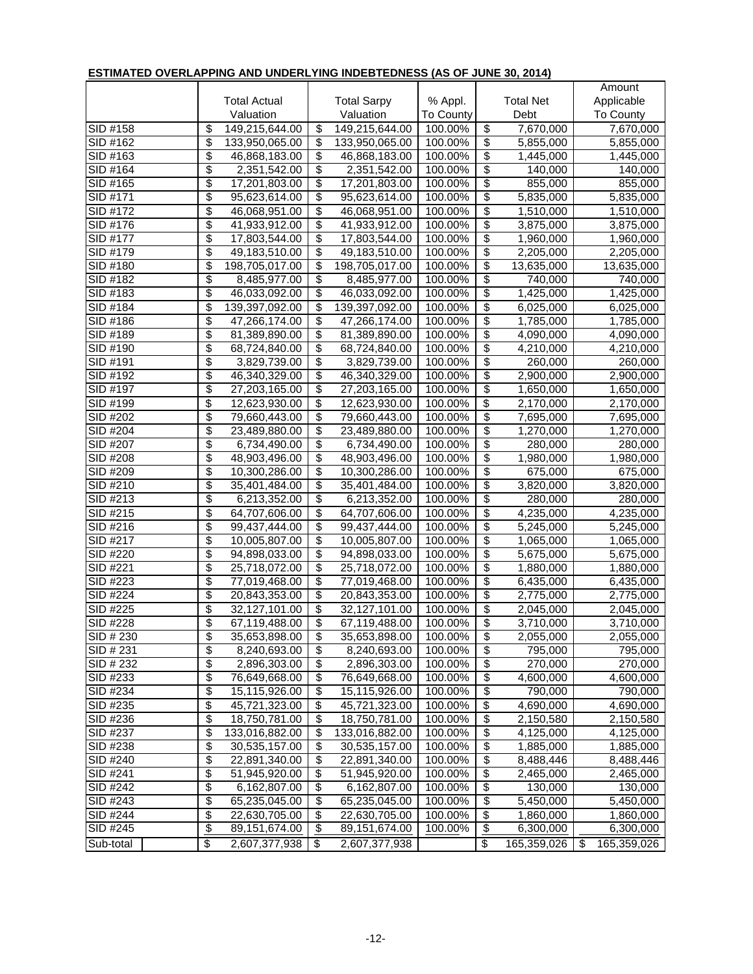| <u>LOTIMATED OVEREALTING AND UNDERETING INDEDITEDINESS (AS OF JUNE 30, 2014)</u> |                          |                     |                          |                    |           |                                  |                  |                        |
|----------------------------------------------------------------------------------|--------------------------|---------------------|--------------------------|--------------------|-----------|----------------------------------|------------------|------------------------|
|                                                                                  |                          |                     |                          |                    |           |                                  |                  | Amount                 |
|                                                                                  |                          | <b>Total Actual</b> |                          | <b>Total Sarpy</b> | % Appl.   |                                  | <b>Total Net</b> | Applicable             |
|                                                                                  |                          | Valuation           |                          | Valuation          | To County |                                  | Debt             | To County              |
| SID #158                                                                         | \$                       | 149,215,644.00      | \$                       | 149,215,644.00     | 100.00%   | \$                               | 7,670,000        | 7,670,000              |
| SID #162                                                                         | \$                       | 133,950,065.00      | $\overline{\mathcal{S}}$ | 133,950,065.00     | 100.00%   | \$                               | 5,855,000        | 5,855,000              |
| SID #163                                                                         | \$                       | 46,868,183.00       | $\overline{\$}$          | 46,868,183.00      | 100.00%   | $\overline{\boldsymbol{\theta}}$ | 1,445,000        | 1,445,000              |
| SID #164                                                                         | \$                       | 2,351,542.00        | $\overline{\$}$          | 2,351,542.00       | 100.00%   | \$                               | 140,000          | 140,000                |
| SID #165                                                                         | \$                       | 17,201,803.00       | $\overline{\$}$          | 17,201,803.00      | 100.00%   | $\overline{\mathcal{E}}$         | 855,000          | 855,000                |
| SID #171                                                                         | \$                       | 95,623,614.00       | $\overline{\$}$          | 95,623,614.00      | 100.00%   | $\overline{\mathcal{E}}$         | 5,835,000        | 5,835,000              |
| SID #172                                                                         | \$                       | 46,068,951.00       | $\overline{\mathcal{E}}$ | 46,068,951.00      | 100.00%   | \$                               | 1,510,000        | 1,510,000              |
| SID #176                                                                         | \$                       | 41,933,912.00       | $\overline{\mathcal{G}}$ | 41,933,912.00      | 100.00%   | \$                               | 3,875,000        | 3,875,000              |
| SID #177                                                                         | \$                       | 17,803,544.00       | $\overline{\mathcal{G}}$ | 17,803,544.00      | 100.00%   | \$                               | 1,960,000        | 1,960,000              |
| SID #179                                                                         | \$                       | 49,183,510.00       | $\overline{\mathbf{e}}$  | 49,183,510.00      | 100.00%   | \$                               | 2,205,000        | 2,205,000              |
| SID #180                                                                         | \$                       | 198,705,017.00      | $\overline{\$}$          | 198,705,017.00     | 100.00%   | \$                               | 13,635,000       | 13,635,000             |
| SID #182                                                                         | \$                       | 8,485,977.00        | $\overline{\$}$          | 8,485,977.00       | 100.00%   | \$                               | 740,000          | 740,000                |
| SID #183                                                                         | \$                       | 46,033,092.00       | $\overline{\$}$          | 46,033,092.00      | 100.00%   | $\overline{\$}$                  | 1,425,000        | 1,425,000              |
| SID #184                                                                         | \$                       | 139,397,092.00      | \$                       | 139,397,092.00     | 100.00%   | $\overline{\boldsymbol{\theta}}$ | 6,025,000        | 6,025,000              |
| SID #186                                                                         | \$                       | 47,266,174.00       | $\overline{\$}$          | 47,266,174.00      | 100.00%   | $\overline{\$}$                  | 1,785,000        | 1,785,000              |
| SID #189                                                                         | \$                       | 81,389,890.00       | \$                       | 81,389,890.00      | 100.00%   | \$                               | 4,090,000        | 4,090,000              |
| SID #190                                                                         | \$                       | 68,724,840.00       | $\overline{\$}$          | 68,724,840.00      | 100.00%   | \$                               | 4,210,000        | 4,210,000              |
| SID #191                                                                         | \$                       | 3,829,739.00        | \$                       | 3,829,739.00       | 100.00%   | $\overline{\mathcal{E}}$         | 260,000          | 260,000                |
| SID #192                                                                         | \$                       | 46,340,329.00       | $\overline{\mathcal{E}}$ | 46,340,329.00      | 100.00%   | $\overline{\mathcal{E}}$         | 2,900,000        | 2,900,000              |
| SID #197                                                                         | \$                       | 27,203,165.00       | $\overline{\$}$          | 27,203,165.00      | 100.00%   | $\overline{\$}$                  | 1,650,000        | 1,650,000              |
| SID #199                                                                         | \$                       | 12,623,930.00       | $\overline{\mathcal{G}}$ | 12,623,930.00      | 100.00%   | $\overline{\$}$                  | 2,170,000        | $\overline{2,}170,000$ |
| SID #202                                                                         | \$                       | 79,660,443.00       | $\overline{\$}$          | 79,660,443.00      | 100.00%   | \$                               | 7,695,000        | 7,695,000              |
| SID #204                                                                         | \$                       | 23,489,880.00       | \$                       | 23,489,880.00      | 100.00%   | \$                               | 1,270,000        | 1,270,000              |
| SID #207                                                                         | \$                       | 6,734,490.00        | $\overline{\$}$          | 6,734,490.00       | 100.00%   | \$                               | 280,000          | 280,000                |
| SID #208                                                                         | \$                       | 48,903,496.00       | $\overline{\$}$          | 48,903,496.00      | 100.00%   | $\overline{\mathcal{E}}$         | 1,980,000        | 1,980,000              |
| SID #209                                                                         | \$                       | 10,300,286.00       | $\overline{\$}$          | 10,300,286.00      | 100.00%   | $\overline{\$}$                  | 675,000          | 675,000                |
| SID #210                                                                         | \$                       | 35,401,484.00       | $\overline{\$}$          | 35,401,484.00      | 100.00%   | $\overline{\boldsymbol{\theta}}$ | 3,820,000        | 3,820,000              |
| SID #213                                                                         | \$                       | 6,213,352.00        | $\overline{\$}$          | 6,213,352.00       | 100.00%   | $\overline{\mathcal{E}}$         | 280,000          | 280,000                |
| SID #215                                                                         | \$                       | 64,707,606.00       | $\overline{\$}$          | 64,707,606.00      | 100.00%   | $\overline{\$}$                  | 4,235,000        | 4,235,000              |
| SID #216                                                                         | \$                       | 99,437,444.00       | \$                       | 99,437,444.00      | 100.00%   | \$                               | 5,245,000        | 5,245,000              |
| SID #217                                                                         | \$                       | 10,005,807.00       | $\overline{\$}$          | 10,005,807.00      | 100.00%   | \$                               | 1,065,000        | 1,065,000              |
| SID #220                                                                         | $\overline{\$}$          | 94,898,033.00       | $\overline{\$}$          | 94,898,033.00      | 100.00%   | $\overline{\$}$                  | 5,675,000        | 5,675,000              |
| SID #221                                                                         | \$                       | 25,718,072.00       | $\overline{\$}$          | 25,718,072.00      | 100.00%   | $\overline{\$}$                  | 1,880,000        | 1,880,000              |
| SID #223                                                                         | \$                       | 77,019,468.00       | $\overline{\$}$          | 77,019,468.00      | 100.00%   | $\overline{\boldsymbol{\theta}}$ | 6,435,000        | 6,435,000              |
| SID #224                                                                         | \$                       | 20,843,353.00       | \$                       | 20,843,353.00      | 100.00%   | $\overline{\boldsymbol{\theta}}$ | 2,775,000        | 2,775,000              |
| $SID$ #225                                                                       | \$                       | 32,127,101.00       | \$                       | 32,127,101.00      | 100.00%   | \$                               | 2,045,000        | 2,045,000              |
| SID #228                                                                         | \$                       | 67,119,488.00       | $\overline{\mathbf{e}}$  | 67,119,488.00      | 100.00%   | $\overline{\boldsymbol{\theta}}$ | 3,710,000        | 3,710,000              |
| SID # 230                                                                        | \$                       | 35,653,898.00       | \$                       | 35,653,898.00      | 100.00%   | \$                               | 2,055,000        | 2,055,000              |
| SID # 231                                                                        | \$                       | 8,240,693.00        | \$                       | 8,240,693.00       | 100.00%   | \$                               | 795,000          | 795,000                |
| SID # 232                                                                        | \$                       | 2,896,303.00        | $\overline{\mathbf{e}}$  | 2,896,303.00       | 100.00%   | $\overline{\mathbf{e}}$          | 270,000          | 270,000                |
| SID #233                                                                         | \$                       | 76,649,668.00       | \$                       | 76,649,668.00      | 100.00%   | \$                               | 4,600,000        | 4,600,000              |
| SID #234                                                                         | \$                       | 15,115,926.00       | $\overline{\mathcal{G}}$ | 15,115,926.00      | 100.00%   | $\overline{\mathcal{S}}$         | 790,000          | 790,000                |
| SID #235                                                                         | \$                       | 45,721,323.00       | \$                       | 45,721,323.00      | 100.00%   | $\overline{\mathcal{S}}$         | 4,690,000        | 4,690,000              |
| SID #236                                                                         | \$                       | 18,750,781.00       | \$                       | 18,750,781.00      | 100.00%   | \$                               | 2,150,580        | 2,150,580              |
| SID #237                                                                         | \$                       | 133,016,882.00      | \$                       | 133,016,882.00     | 100.00%   | \$                               | 4,125,000        | 4,125,000              |
| SID #238                                                                         | \$                       | 30,535,157.00       | \$                       | 30,535,157.00      | 100.00%   | \$                               | 1,885,000        | 1,885,000              |
| SID #240                                                                         | \$                       | 22,891,340.00       | \$                       | 22,891,340.00      | 100.00%   | $\overline{\$}$                  | 8,488,446        | 8,488,446              |
| SID #241                                                                         | \$                       | 51,945,920.00       | \$                       | 51,945,920.00      | 100.00%   | \$                               | 2,465,000        | 2,465,000              |
| SID #242                                                                         | \$                       | 6,162,807.00        | \$                       | 6,162,807.00       | 100.00%   | \$                               | 130,000          | 130,000                |
| SID #243                                                                         | \$                       | 65,235,045.00       | \$                       | 65,235,045.00      | 100.00%   | $\overline{\boldsymbol{\theta}}$ | 5,450,000        | 5,450,000              |
| SID #244                                                                         | \$                       | 22,630,705.00       | \$                       | 22,630,705.00      | 100.00%   | \$                               | 1,860,000        | 1,860,000              |
| SID #245                                                                         | $\overline{\mathcal{E}}$ | 89,151,674.00       | \$                       | 89, 151, 674.00    | 100.00%   | \$                               | 6,300,000        | 6,300,000              |
| Sub-total                                                                        | $\overline{\mathbf{e}}$  | 2,607,377,938       | \$                       | 2,607,377,938      |           | \$                               | 165,359,026      | \$<br>165,359,026      |

## **ESTIMATED OVERLAPPING AND UNDERLYING INDEBTEDNESS (AS OF JUNE 30, 2014)**